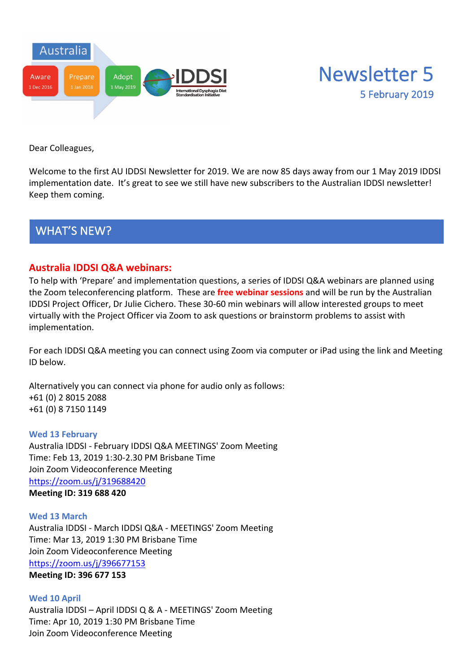



Dear Colleagues,

Welcome to the first AU IDDSI Newsletter for 2019. We are now 85 days away from our 1 May 2019 IDDSI implementation date. It's great to see we still have new subscribers to the Australian IDDSI newsletter! Keep them coming.

WHAT'S NEW?

#### **Australia IDDSI Q&A webinars:**

To help with 'Prepare' and implementation questions, a series of IDDSI Q&A webinars are planned using the Zoom teleconferencing platform. These are **free webinar sessions** and will be run by the Australian IDDSI Project Officer, Dr Julie Cichero. These 30-60 min webinars will allow interested groups to meet virtually with the Project Officer via Zoom to ask questions or brainstorm problems to assist with implementation.

For each IDDSI Q&A meeting you can connect using Zoom via computer or iPad using the link and Meeting ID below.

Alternatively you can connect via phone for audio only as follows: +61 (0) 2 8015 2088 +61 (0) 8 7150 1149

#### **Wed 13 February**

Australia IDDSI - February IDDSI Q&A MEETINGS' Zoom Meeting Time: Feb 13, 2019 1:30-2.30 PM Brisbane Time Join Zoom Videoconference Meeting https://zoom.us/j/319688420 **Meeting ID: 319 688 420**

**Wed 13 March** Australia IDDSI - March IDDSI Q&A - MEETINGS' Zoom Meeting Time: Mar 13, 2019 1:30 PM Brisbane Time Join Zoom Videoconference Meeting https://zoom.us/j/396677153 **Meeting ID: 396 677 153**

**Wed 10 April** Australia IDDSI – April IDDSI Q & A - MEETINGS' Zoom Meeting Time: Apr 10, 2019 1:30 PM Brisbane Time Join Zoom Videoconference Meeting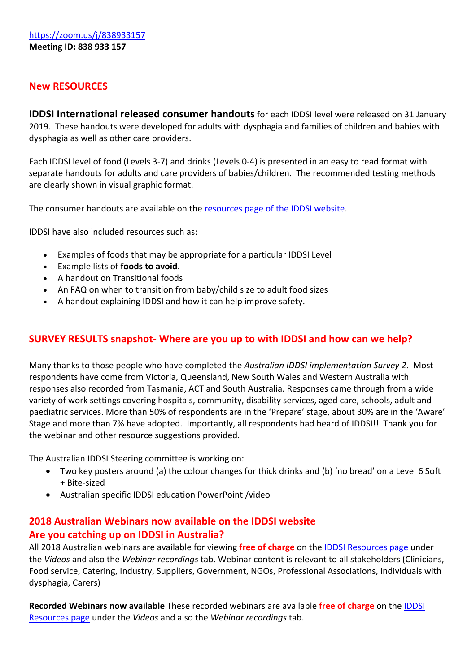## **New RESOURCES**

**IDDSI International released consumer handouts**for each IDDSI level were released on 31 January 2019. These handouts were developed for adults with dysphagia and families of children and babies with dysphagia as well as other care providers.

Each IDDSI level of food (Levels 3-7) and drinks (Levels 0-4) is presented in an easy to read format with separate handouts for adults and care providers of babies/children. The recommended testing methods are clearly shown in visual graphic format.

The consumer handouts are available on the resources page of the IDDSI website.

IDDSI have also included resources such as:

- Examples of foods that may be appropriate for a particular IDDSI Level
- Example lists of **foods to avoid**.
- A handout on Transitional foods
- An FAQ on when to transition from baby/child size to adult food sizes
- A handout explaining IDDSI and how it can help improve safety.

### **SURVEY RESULTS snapshot- Where are you up to with IDDSI and how can we help?**

Many thanks to those people who have completed the *Australian IDDSI implementation Survey 2*. Most respondents have come from Victoria, Queensland, New South Wales and Western Australia with responses also recorded from Tasmania, ACT and South Australia. Responses came through from a wide variety of work settings covering hospitals, community, disability services, aged care, schools, adult and paediatric services. More than 50% of respondents are in the 'Prepare' stage, about 30% are in the 'Aware' Stage and more than 7% have adopted. Importantly, all respondents had heard of IDDSI!! Thank you for the webinar and other resource suggestions provided.

The Australian IDDSI Steering committee is working on:

- Two key posters around (a) the colour changes for thick drinks and (b) 'no bread' on a Level 6 Soft + Bite-sized
- Australian specific IDDSI education PowerPoint /video

# **2018 Australian Webinars now available on the IDDSI website Are you catching up on IDDSI in Australia?**

All 2018 Australian webinars are available for viewing **free of charge** on the IDDSI Resources page under the *Videos* and also the *Webinar recordings* tab. Webinar content is relevant to all stakeholders (Clinicians, Food service, Catering, Industry, Suppliers, Government, NGOs, Professional Associations, Individuals with dysphagia, Carers)

**Recorded Webinars now available** These recorded webinars are available **free of charge** on the IDDSI Resources page under the *Videos* and also the *Webinar recordings* tab.